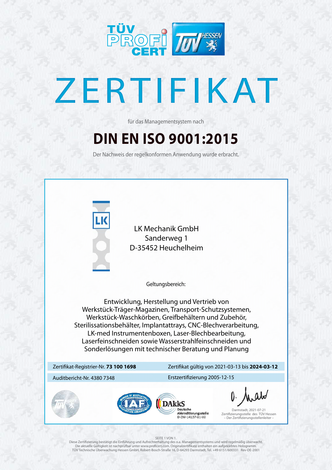

# ZERTIFIKAT

## **DIN EN ISO 9001:2015**

für das Managementsystem nach

Der Nachweis der regelkonformen Anwendung wurde erbracht.



#### Zertifikat-Registrier-Nr. **73 100 1698**

#### Auditbericht-Nr. 4380 7348 Erstzertifizierung 2005-12-15





Deutsche Akkreditierungsstelle D-ZM-14137-01-00

### Zertifikat gültig von 2021-03-13 bis **2024-03-12**

Geltungsbereich:

Diese Zertifizierung bestätigt die Einführung und Aufrechterhaltung des o.a. Managementsystems und wird regelmäßig überwacht. Die aktuelle Gültigkeit ist nachprüfbar unter www.proficert.com. Originalzertifikate enthalten ein aufgeklebtes Hologramm. TÜV Technische Überwachung Hessen GmbH, Robert-Bosch-Straße 16, D-64293 Darmstadt, Tel. +49 6151/600331 Rev-DE-2001

Darmstadt, 2021-07-21 Zertifizierungsstelle des TÜV Hessen – Der Zertifizierungsstellenleiter –

#### SEITE 1 VON 1.

**DAkkS** 

Entwicklung, Herstellung und Vertrieb von Werkstück-Träger-Magazinen, Transport-Schutzsystemen, Werkstück-Waschkörben, Greifbehältern und Zubehör, Sterilissationsbehälter, Implantattrays, CNC-Blechverarbeitung, LK-med Instrumentenboxen, Laser-Blechbearbeitung, Laserfeinschneiden sowie Wasserstrahlfeinschneiden und Sonderlösungen mit technischer Beratung und Planung

LK Mechanik GmbH Sanderweg 1 D-35452 Heuchelheim